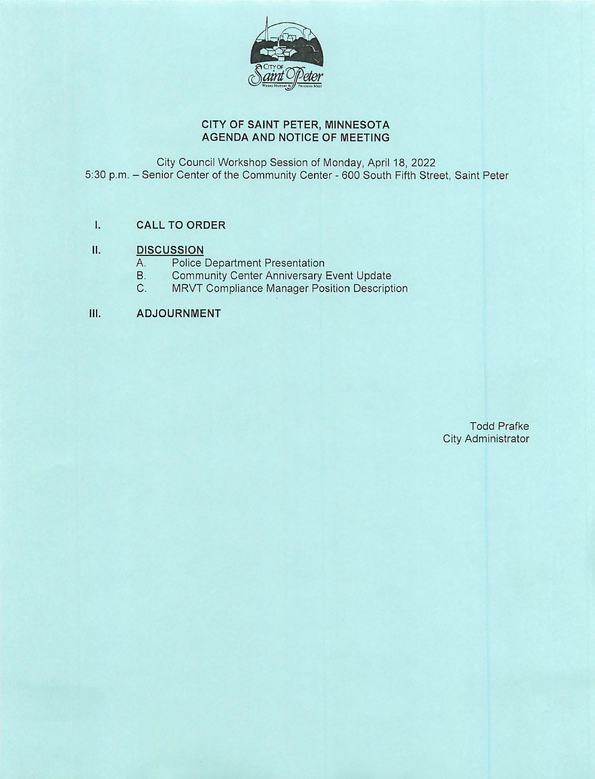

# **CITY OF SAINT PETER, MINNESOTA AGENDA AND NOTICE OF MEETING**

City Council Workshop Session of Monday, April 18, 2022 5:30 p.m. - Senior Center of the Community Center - 600 South Fifth Street, Saint Peter

# I. **CALL TO ORDER**

# **II. DISCUSSION**

- A. Police Department Presentation<br>B. Community Center Anniversary I
- B. Community Center Anniversary Event Update<br>C. MRVT Compliance Manager Position Descript
- MRVT Compliance Manager Position Description

# **Ill. ADJOURNMENT**

Todd Prafke City Administrator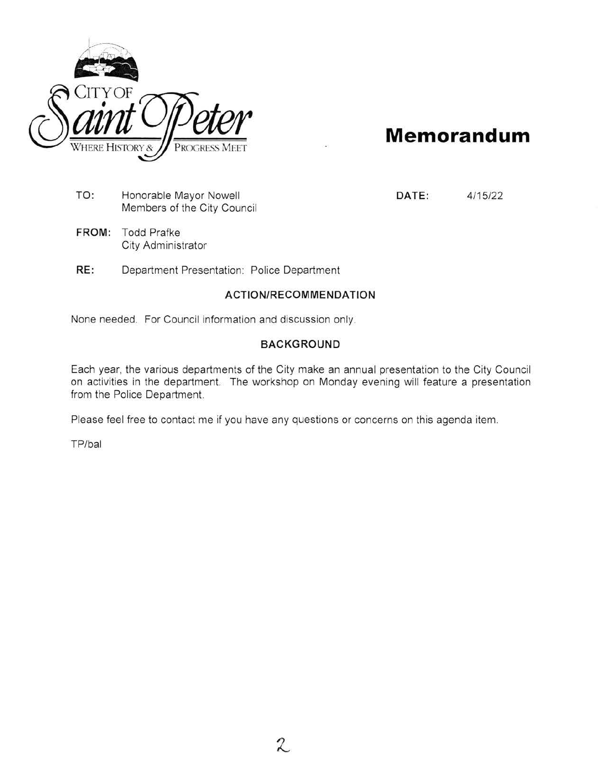

# **Memorandum**

TO: Honorable Mayor Nowell Members of the City Council

**FROM:** Todd Prafke City Administrator **DATE:** 4/15/22

**RE:** Department Presentation: Police Department

## **ACTION/RECOMMENDATION**

None needed. For Council information and discussion only.

## **BACKGROUND**

Each year, the various departments of the City make an annual presentation to the City Council on activities in the department. The workshop on Monday evening will feature a presentation from the Police Department.

Please feel free to contact me if you have any questions or concerns on this agenda item.

TP/bal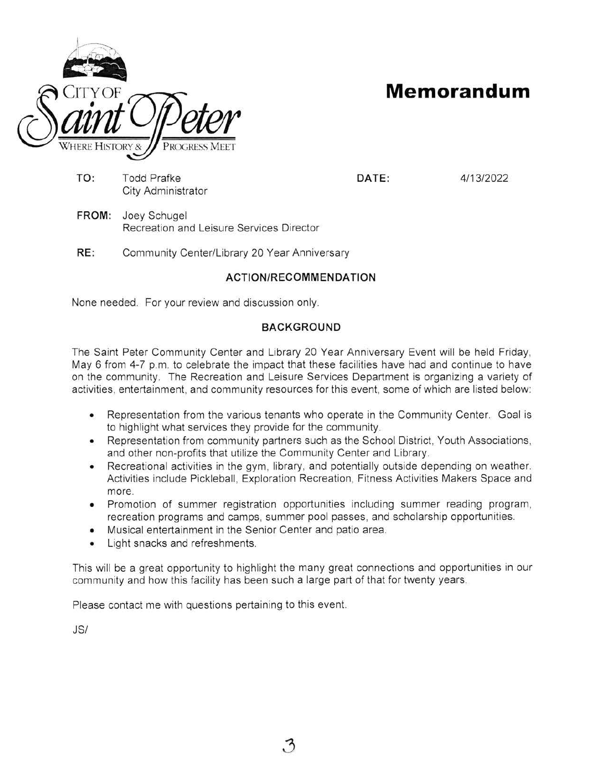

# CITY OF **Memorandum**

TO: Todd Prafke **DATE:** 4/13/2022 City Administrator

**FROM:** Joey Schugel Recreation and Leisure Services Director

**RE:** Community Center/Library 20 Year Anniversary

# **ACTION/RECOMMENDATION**

None needed. For your review and discussion only.

# **BACKGROUND**

The Saint Peter Community Center and Library 20 Year Anniversary Event will be held Friday, May 6 from 4-7 p.m. to celebrate the impact that these facilities have had and continue to have on the community. The Recreation and Leisure Services Department is organizing a variety of activities, entertainment, and community resources for this event, some of which are listed below:

- Representation from the various tenants who operate in the Community Center. Goal is to highlight what services they provide for the community.
- Representation from community partners such as the School District, Youth Associations, and other non-profits that utilize the Community Center and Library.
- Recreational activities in the gym, library, and potentially outside depending on weather. Activities include Pickleball, Exploration Recreation, Fitness Activities Makers Space and more.
- Promotion of summer registration opportunities including summer reading program , recreation programs and camps, summer pool passes, and scholarship opportunities.
- Musical entertainment in the Senior Center and patio area.
- Light snacks and refreshments.

This will be a great opportunity to highlight the many great connections and opportunities in our community and how this facility has been such a large part of that for twenty years .

Please contact me with questions pertaining to this event.

JS/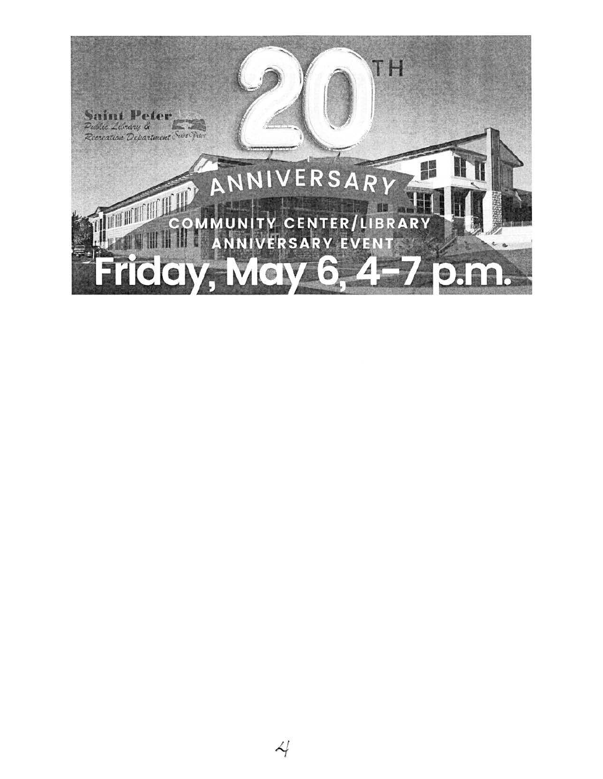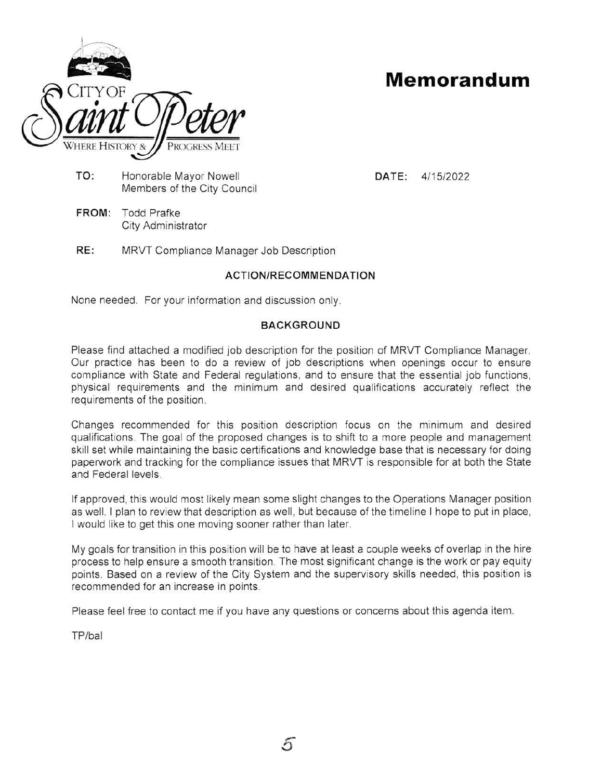

# **Memorandum**

**TO:** Honorable Mayor Nowell Members of the City Council **DATE:** 4/15/2022

- **FROM:** Todd Prafke City Administrator
- **RE:** MRVT Compliance Manager Job Description

# **ACTION/RECOMMENDATION**

None needed. For your information and discussion only.

## **BACKGROUND**

Please find attached a modified job description for the position of MRVT Compliance Manager. Our practice has been to do a review of job descriptions when openings occur to ensure compliance with State and Federal regulations, and to ensure that the essential job functions, physical requirements and the minimum and desired qualifications accurately reflect the requirements of the position.

Changes recommended for this position description focus on the minimum and desired qualifications. The goal of the proposed changes is to shift to a more people and management skill set while maintaining the basic certifications and knowledge base that is necessary for doing paperwork and tracking for the compliance issues that MRVT is responsible for at both the State and Federal levels.

If approved, this would most likely mean some slight changes to the Operations Manager position as well. I plan to review that description as well, but because of the timeline I hope to put in place, I would like to get this one moving sooner rather than later.

My goals for transition in this position will be to have at least a couple weeks of overlap in the hire process to help ensure a smooth transition. The most significant change is the work or pay equity points. Based on a review of the City System and the supervisory skills needed, this position is recommended for an increase in points.

Please feel free to contact me if you have any questions or concerns about this agenda item.

TP/bal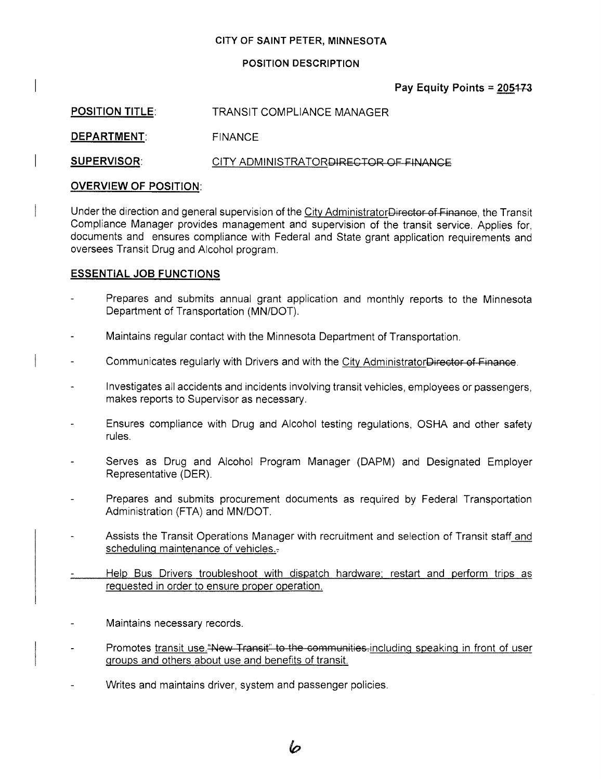#### **CITY OF SAINT PETER, MINNESOTA**

#### **POSITION DESCRIPTION**

## Pay Equity Points = 205473

| <b>POSITION TITLE:</b> | TRANSIT COMPLIANCE MANAGER            |
|------------------------|---------------------------------------|
| <b>DEPARTMENT:</b>     | FINANCE                               |
| <b>SUPERVISOR:</b>     | CITY ADMINISTRATORDIRECTOR OF FINANCE |

## **OVERVIEW OF POSITION:**

Under the direction and general supervision of the City AdministratorDirector of Finance, the Transit Compliance Manager provides management and supervision of the transit service. Applies for, documents and ensures compliance with Federal and State grant application requirements and oversees Transit Drug and Alcohol program.

## **ESSENTIAL JOB FUNCTIONS**

- Prepares and submits annual grant application and monthly reports to the Minnesota Department of Transportation (MN/DOT).
- Maintains regular contact with the Minnesota Department of Transportation. L,
- Communicates regularly with Drivers and with the City AdministratorDirector of Finance.
- Investigates all accidents and incidents involving transit vehicles, employees or passengers, makes reports to Supervisor as necessary.
- Ensures compliance with Drug and Alcohol testing regulations, OSHA and other safety rules.
- Serves as Drug and Alcohol Program Manager (DAPM) and Designated Employer Representative (DER).
- Prepares and submits procurement documents as required by Federal Transportation Administration (FTA) and MN/DOT.
- Assists the Transit Operations Manager with recruitment and selection of Transit staff and scheduling maintenance of vehicles.-
- Help Bus Drivers troubleshoot with dispatch hardware; restart and perform trips as requested in order to ensure proper operation.
- Maintains necessary records.
- Promotes transit use. "New Transit" to the communities. including speaking in front of user groups and others about use and benefits of transit.

b

Writes and maintains driver, system and passenger policies.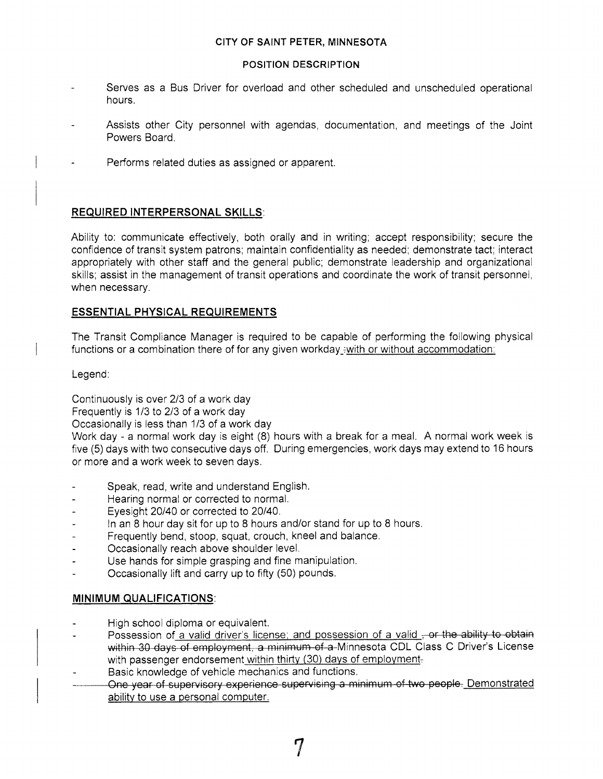#### **CITY OF SAINT PETER, MINNESOTA**

#### **POSITION DESCRIPTION**

- Serves as a Bus Driver for overload and other scheduled and unscheduled operational hours.
- Assists other City personnel with agendas, documentation, and meetings of the Joint Powers Board.
- Performs related duties as assigned or apparent.

## **REQUIRED INTERPERSONAL SKILLS:**

Ability to: communicate effectively, both orally and in writing; accept responsibility; secure the confidence of transit system patrons; maintain confidentiality as needed; demonstrate tact; interact appropriately with other staff and the general public; demonstrate leadership and organizational skills; assist in the management of transit operations and coordinate the work of transit personnel, when necessary.

## **ESSENTIAL PHYSICAL REQUIREMENTS**

The Transit Compliance Manager is required to be capable of performing the following physical functions or a combination there of for any given workday -with or without accommodation:

Legend:

Continuously is over 2/3 of a work day

Frequently is 1/3 to 2/3 of a work day

Occasionally is less than 1/3 of a work day

Work day - a normal work day is eight (8) hours with a break for a meal. A normal work week is five (5) days with two consecutive days off. During emergencies, work days may extend to 16 hours or more and a work week to seven days.

- Speak, read, write and understand English.
- Hearing normal or corrected to normal.
- Eyesight 20/40 or corrected to 20/40.
- In an 8 hour day sit for up to 8 hours and/or stand for up to 8 hours.
- Frequently bend, stoop, squat, crouch, kneel and balance.
- Occasionally reach above shoulder level.
- Use hands for simple grasping and fine manipulation.
- Occasionally lift and carry up to fifty (50) pounds.

## **MINIMUM QUALIFICATIONS:**

- High school diploma or equivalent.
- Possession of a valid driver's license; and possession of a valid, or the ability to obtain within 30 days of employment, a minimum of a-Minnesota CDL Class C Driver's License with passenger endorsement within thirty  $(30)$  days of employment-
- Basic knowledge of vehicle mechanics and functions.
- One year of supervisory experience supervising a minimum of two people, Demonstrated ability to use a personal computer.